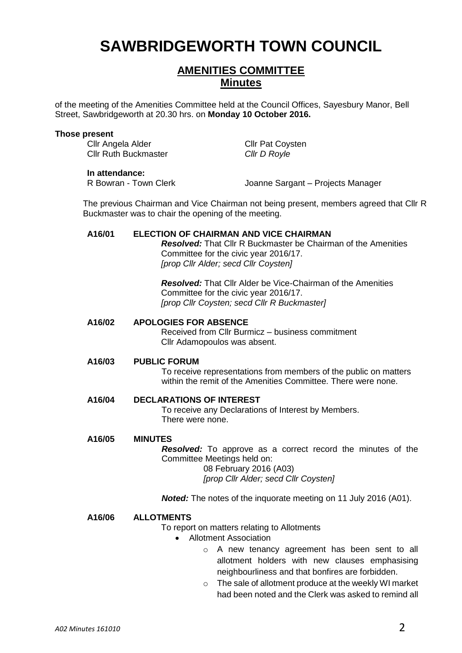# **SAWBRIDGEWORTH TOWN COUNCIL**

# **AMENITIES COMMITTEE Minutes**

of the meeting of the Amenities Committee held at the Council Offices, Sayesbury Manor, Bell Street, Sawbridgeworth at 20.30 hrs. on **Monday 10 October 2016.**

#### **Those present**

Cllr Angela Alder Cllr Pat Coysten Cllr Ruth Buckmaster *Cllr D Royle*

**In attendance:**<br>R Bowran - Town Clerk

Joanne Sargant – Projects Manager

The previous Chairman and Vice Chairman not being present, members agreed that Cllr R Buckmaster was to chair the opening of the meeting.

#### **A16/01 ELECTION OF CHAIRMAN AND VICE CHAIRMAN**

*Resolved:* That Cllr R Buckmaster be Chairman of the Amenities Committee for the civic year 2016/17. *[prop Cllr Alder; secd Cllr Coysten]*

*Resolved:* That Cllr Alder be Vice-Chairman of the Amenities Committee for the civic year 2016/17. *[prop Cllr Coysten; secd Cllr R Buckmaster]*

#### **A16/02 APOLOGIES FOR ABSENCE**

Received from Cllr Burmicz – business commitment Cllr Adamopoulos was absent.

#### **A16/03 PUBLIC FORUM**

To receive representations from members of the public on matters within the remit of the Amenities Committee. There were none.

## **A16/04 DECLARATIONS OF INTEREST**

To receive any Declarations of Interest by Members. There were none.

#### **A16/05 MINUTES**

*Resolved:* To approve as a correct record the minutes of the Committee Meetings held on: 08 February 2016 (A03)

*[prop Cllr Alder; secd Cllr Coysten]*

*Noted:* The notes of the inquorate meeting on 11 July 2016 (A01).

#### **A16/06 ALLOTMENTS**

To report on matters relating to Allotments

- Allotment Association
	- o A new tenancy agreement has been sent to all allotment holders with new clauses emphasising neighbourliness and that bonfires are forbidden.
	- o The sale of allotment produce at the weekly WI market had been noted and the Clerk was asked to remind all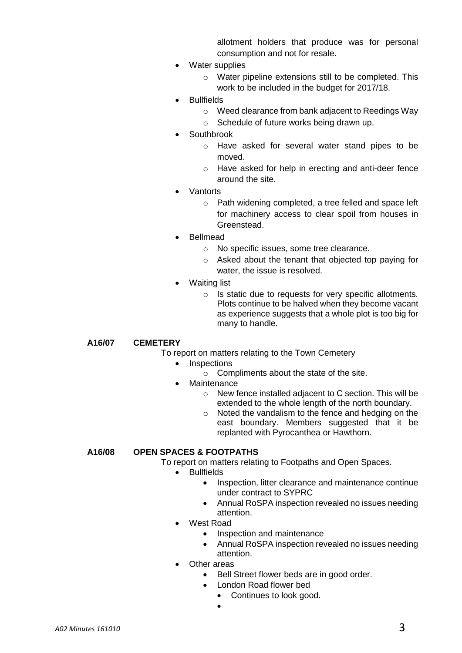allotment holders that produce was for personal consumption and not for resale.

- Water supplies
	- o Water pipeline extensions still to be completed. This work to be included in the budget for 2017/18.
- **Bullfields** 
	- o Weed clearance from bank adjacent to Reedings Way
	- o Schedule of future works being drawn up.
- **Southbrook** 
	- o Have asked for several water stand pipes to be moved.
	- o Have asked for help in erecting and anti-deer fence around the site.
- Vantorts
	- o Path widening completed, a tree felled and space left for machinery access to clear spoil from houses in Greenstead.
- Bellmead
	- o No specific issues, some tree clearance.
	- o Asked about the tenant that objected top paying for water, the issue is resolved.
- Waiting list
	- o Is static due to requests for very specific allotments. Plots continue to be halved when they become vacant as experience suggests that a whole plot is too big for many to handle.

**A16/07 CEMETERY**

- To report on matters relating to the Town Cemetery
	- Inspections
		- o Compliments about the state of the site.
	- Maintenance
		- o New fence installed adjacent to C section. This will be extended to the whole length of the north boundary.
		- o Noted the vandalism to the fence and hedging on the east boundary. Members suggested that it be replanted with Pyrocanthea or Hawthorn.

#### **A16/08 OPEN SPACES & FOOTPATHS**

To report on matters relating to Footpaths and Open Spaces.

- **•** Bullfields
	- Inspection, litter clearance and maintenance continue under contract to SYPRC
	- Annual RoSPA inspection revealed no issues needing attention.
- West Road
	- Inspection and maintenance
	- Annual RoSPA inspection revealed no issues needing attention.
- Other areas
	- Bell Street flower beds are in good order.
	- London Road flower bed
		- Continues to look good.
		- $\bullet$